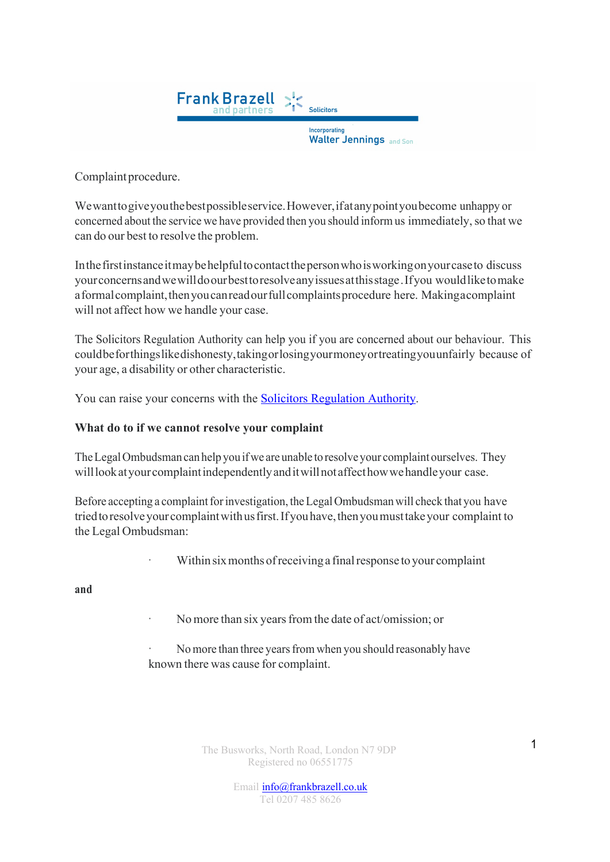

Complaint procedure.

Wewanttogiveyouthebestpossibleservice.However,ifatanypointyoubecome unhappy or concerned about the service we have provided then you should inform us immediately, so that we can do our best to resolve the problem.

Inthefirstinstanceitmaybehelpfultocontactthepersonwhoisworkingonyourcaseto discuss yourconcernsandwewilldoourbesttoresolveanyissuesatthisstage.Ifyou wouldliketomake a formal complaint, then you can read our full complaints procedure here. Makingacomplaint will not affect how we handle your case.

The Solicitors Regulation Authority can help you if you are concerned about our behaviour. This couldbeforthingslikedishonesty,takingorlosingyourmoneyortreatingyouunfairly because of your age, a disability or other characteristic.

You can raise your concerns with the Solicitors Regulation Authority.

## **What do to if we cannot resolve your complaint**

TheLegalOmbudsman can help you ifwe are unable to resolve your complaint ourselves. They willlookatyourcomplaintindependentlyanditwillnotaffecthowwehandleyour case.

Before accepting a complaint for investigation, the Legal Ombudsman will check that you have triedtoresolveyourcomplaintwithusfirst.Ifyouhave,thenyoumusttakeyour complaint to the Legal Ombudsman:

Within six months of receiving a final response to your complaint

**and**

- No more than six years from the date of act/omission; or
- No more than three years from when you should reasonably have known there was cause for complaint.